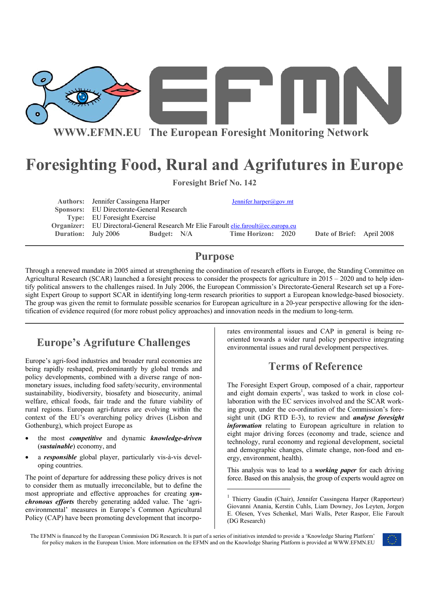

# **Foresighting Food, Rural and Agrifutures in Europe**

| <b>Foresight Brief No. 142</b> |                                                                                            |             |                        |  |                           |  |
|--------------------------------|--------------------------------------------------------------------------------------------|-------------|------------------------|--|---------------------------|--|
|                                | <b>Authors:</b> Jennifer Cassingena Harper                                                 |             | Jennifer.harper@gov.mt |  |                           |  |
|                                | Sponsors: EU Directorate-General Research                                                  |             |                        |  |                           |  |
|                                | Type: EU Foresight Exercise                                                                |             |                        |  |                           |  |
|                                | <b>Organizer:</b> EU Directoral-General Research Mr Elie Faroult elie faroult@ec.europa.eu |             |                        |  |                           |  |
|                                | <b>Duration:</b> July 2006                                                                 | Budget: N/A | Time Horizon: 2020     |  | Date of Brief: April 2008 |  |

### **Purpose**

Through a renewed mandate in 2005 aimed at strengthening the coordination of research efforts in Europe, the Standing Committee on Agricultural Research (SCAR) launched a foresight process to consider the prospects for agriculture in 2015 – 2020 and to help identify political answers to the challenges raised. In July 2006, the European Commission's Directorate-General Research set up a Foresight Expert Group to support SCAR in identifying long-term research priorities to support a European knowledge-based biosociety. The group was given the remit to formulate possible scenarios for European agriculture in a 20-year perspective allowing for the identification of evidence required (for more robust policy approaches) and innovation needs in the medium to long-term.

## **Europe's Agrifuture Challenges**

Europe's agri-food industries and broader rural economies are being rapidly reshaped, predominantly by global trends and policy developments, combined with a diverse range of nonmonetary issues, including food safety/security, environmental sustainability, biodiversity, biosafety and biosecurity, animal welfare, ethical foods, fair trade and the future viability of rural regions. European agri-futures are evolving within the context of the EU's overarching policy drives (Lisbon and Gothenburg), which project Europe as

- the most *competitive* and dynamic *knowledge-driven* (*sustainable*) economy, and
- a *responsible* global player, particularly vis-à-vis developing countries.

The point of departure for addressing these policy drives is not to consider them as mutually irreconcilable, but to define the most appropriate and effective approaches for creating *synchronous efforts* thereby generating added value. The 'agrienvironmental' measures in Europe's Common Agricultural Policy (CAP) have been promoting development that incorpo-

rates environmental issues and CAP in general is being reoriented towards a wider rural policy perspective integrating environmental issues and rural development perspectives.

### **Terms of Reference**

The Foresight Expert Group, composed of a chair, rapporteur and eight domain experts<sup>1</sup>, was tasked to work in close collaboration with the EC services involved and the SCAR working group, under the co-ordination of the Commission's foresight unit (DG RTD E-3), to review and *analyse foresight information* relating to European agriculture in relation to eight major driving forces (economy and trade, science and technology, rural economy and regional development, societal and demographic changes, climate change, non-food and energy, environment, health).

This analysis was to lead to a *working paper* for each driving force. Based on this analysis, the group of experts would agree on

The EFMN is financed by the European Commission DG Research. It is part of a series of initiatives intended to provide a 'Knowledge Sharing Platform' for policy makers in the European Union. More information on the EFMN and on the Knowledge Sharing Platform is provided at WWW.EFMN.EU



<sup>&</sup>lt;sup>1</sup> Thierry Gaudin (Chair), Jennifer Cassingena Harper (Rapporteur) Giovanni Anania, Kerstin Cuhls, Liam Downey, Jos Leyten, Jorgen E. Olesen, Yves Schenkel, Mari Walls, Peter Raspor, Elie Faroult (DG Research)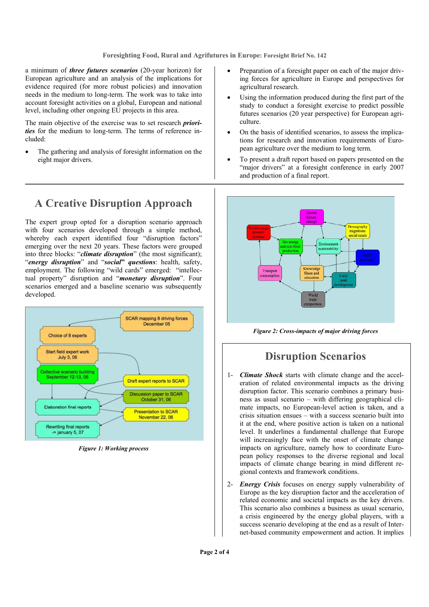#### **Foresighting Food, Rural and Agrifutures in Europe: Foresight Brief No. 142**

a minimum of *three futures scenarios* (20-year horizon) for European agriculture and an analysis of the implications for evidence required (for more robust policies) and innovation needs in the medium to long-term. The work was to take into account foresight activities on a global, European and national level, including other ongoing EU projects in this area.

The main objective of the exercise was to set research *priorities* for the medium to long-term. The terms of reference included:

The gathering and analysis of foresight information on the eight major drivers.

- Preparation of a foresight paper on each of the major driving forces for agriculture in Europe and perspectives for agricultural research.
- Using the information produced during the first part of the study to conduct a foresight exercise to predict possible futures scenarios (20 year perspective) for European agriculture.
- On the basis of identified scenarios, to assess the implications for research and innovation requirements of European agriculture over the medium to long term.
- To present a draft report based on papers presented on the "major drivers" at a foresight conference in early 2007 and production of a final report.



*Figure 2: Cross-impacts of major driving forces* 

#### **Disruption Scenarios**

- 1- *Climate Shock* starts with climate change and the acceleration of related environmental impacts as the driving disruption factor. This scenario combines a primary business as usual scenario – with differing geographical climate impacts, no European-level action is taken, and a crisis situation ensues – with a success scenario built into it at the end, where positive action is taken on a national level. It underlines a fundamental challenge that Europe will increasingly face with the onset of climate change impacts on agriculture, namely how to coordinate European policy responses to the diverse regional and local impacts of climate change bearing in mind different regional contexts and framework conditions.
- 2- *Energy Crisis* focuses on energy supply vulnerability of Europe as the key disruption factor and the acceleration of related economic and societal impacts as the key drivers. This scenario also combines a business as usual scenario, a crisis engineered by the energy global players, with a success scenario developing at the end as a result of Internet-based community empowerment and action. It implies

### **A Creative Disruption Approach**

The expert group opted for a disruption scenario approach with four scenarios developed through a simple method, whereby each expert identified four "disruption factors" emerging over the next 20 years. These factors were grouped into three blocks: "*climate disruption*" (the most significant); "*energy disruption*" and "*social***"** *questions*: health, safety, employment. The following "wild cards" emerged: "intellectual property" disruption and "*monetary disruption*". Four scenarios emerged and a baseline scenario was subsequently developed.



*Figure 1: Working process*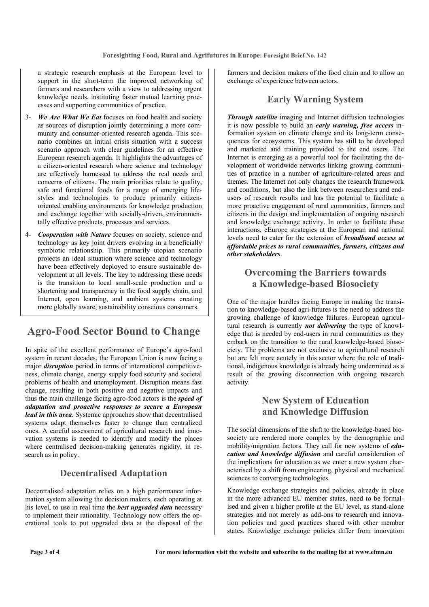a strategic research emphasis at the European level to support in the short-term the improved networking of farmers and researchers with a view to addressing urgent knowledge needs, instituting faster mutual learning processes and supporting communities of practice.

- 3- *We Are What We Eat* focuses on food health and society as sources of disruption jointly determining a more community and consumer-oriented research agenda. This scenario combines an initial crisis situation with a success scenario approach with clear guidelines for an effective European research agenda. It highlights the advantages of a citizen-oriented research where science and technology are effectively harnessed to address the real needs and concerns of citizens. The main priorities relate to quality, safe and functional foods for a range of emerging lifestyles and technologies to produce primarily citizenoriented enabling environments for knowledge production and exchange together with socially-driven, environmentally effective products, processes and services.
- 4- *Cooperation with Nature* focuses on society, science and technology as key joint drivers evolving in a beneficially symbiotic relationship. This primarily utopian scenario projects an ideal situation where science and technology have been effectively deployed to ensure sustainable development at all levels. The key to addressing these needs is the transition to local small-scale production and a shortening and transparency in the food supply chain, and Internet, open learning, and ambient systems creating more globally aware, sustainability conscious consumers.

### **Agro-Food Sector Bound to Change**

In spite of the excellent performance of Europe's agro-food system in recent decades, the European Union is now facing a major *disruption* period in terms of international competitiveness, climate change, energy supply food security and societal problems of health and unemployment. Disruption means fast change, resulting in both positive and negative impacts and thus the main challenge facing agro-food actors is the *speed of adaptation and proactive responses to secure a European lead in this area*. Systemic approaches show that decentralised systems adapt themselves faster to change than centralized ones. A careful assessment of agricultural research and innovation systems is needed to identify and modify the places where centralised decision-making generates rigidity, in research as in policy.

#### **Decentralised Adaptation**

Decentralised adaptation relies on a high performance information system allowing the decision makers, each operating at his level, to use in real time the *best upgraded data* necessary to implement their rationality. Technology now offers the operational tools to put upgraded data at the disposal of the farmers and decision makers of the food chain and to allow an exchange of experience between actors.

#### **Early Warning System**

*Through satellite* imaging and Internet diffusion technologies it is now possible to build an *early warning, free access* information system on climate change and its long-term consequences for ecosystems. This system has still to be developed and marketed and training provided to the end users. The Internet is emerging as a powerful tool for facilitating the development of worldwide networks linking growing communities of practice in a number of agriculture-related areas and themes. The Internet not only changes the research framework and conditions, but also the link between researchers and endusers of research results and has the potential to facilitate a more proactive engagement of rural communities, farmers and citizens in the design and implementation of ongoing research and knowledge exchange activity. In order to facilitate these interactions, eEurope strategies at the European and national levels need to cater for the extension of *broadband access at affordable prices to rural communities, farmers, citizens and other stakeholders*.

#### **Overcoming the Barriers towards a Knowledge-based Biosociety**

One of the major hurdles facing Europe in making the transition to knowledge-based agri-futures is the need to address the growing challenge of knowledge failures. European agricultural research is currently *not delivering* the type of knowledge that is needed by end-users in rural communities as they embark on the transition to the rural knowledge-based biosociety. The problems are not exclusive to agricultural research but are felt more acutely in this sector where the role of traditional, indigenous knowledge is already being undermined as a result of the growing disconnection with ongoing research activity.

#### **New System of Education and Knowledge Diffusion**

The social dimensions of the shift to the knowledge-based biosociety are rendered more complex by the demographic and mobility/migration factors. They call for new systems of *education and knowledge diffusion* and careful consideration of the implications for education as we enter a new system characterised by a shift from engineering, physical and mechanical sciences to converging technologies.

Knowledge exchange strategies and policies, already in place in the more advanced EU member states, need to be formalised and given a higher profile at the EU level, as stand-alone strategies and not merely as add-ons to research and innovation policies and good practices shared with other member states. Knowledge exchange policies differ from innovation